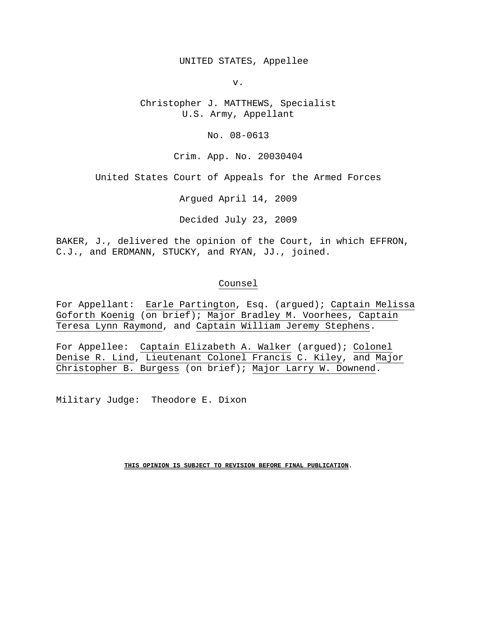UNITED STATES, Appellee

v.

Christopher J. MATTHEWS, Specialist U.S. Army, Appellant

No. 08-0613

Crim. App. No. 20030404

United States Court of Appeals for the Armed Forces

Argued April 14, 2009

Decided July 23, 2009

BAKER, J., delivered the opinion of the Court, in which EFFRON, C.J., and ERDMANN, STUCKY, and RYAN, JJ., joined.

#### Counsel

For Appellant: Earle Partington, Esq. (argued); Captain Melissa Goforth Koenig (on brief); Major Bradley M. Voorhees, Captain Teresa Lynn Raymond, and Captain William Jeremy Stephens.

For Appellee: Captain Elizabeth A. Walker (argued); Colonel Denise R. Lind, Lieutenant Colonel Francis C. Kiley, and Major Christopher B. Burgess (on brief); Major Larry W. Downend.

Military Judge: Theodore E. Dixon

**THIS OPINION IS SUBJECT TO REVISION BEFORE FINAL PUBLICATION.**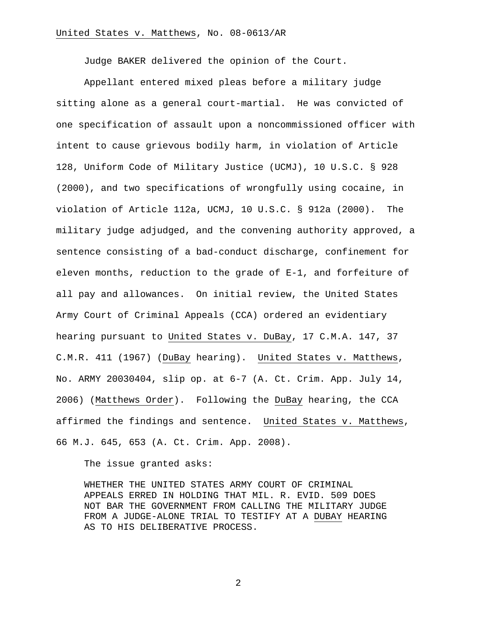Judge BAKER delivered the opinion of the Court.

Appellant entered mixed pleas before a military judge sitting alone as a general court-martial. He was convicted of one specification of assault upon a noncommissioned officer with intent to cause grievous bodily harm, in violation of Article 128, Uniform Code of Military Justice (UCMJ), 10 U.S.C. § 928 (2000), and two specifications of wrongfully using cocaine, in violation of Article 112a, UCMJ, 10 U.S.C. § 912a (2000). The military judge adjudged, and the convening authority approved, a sentence consisting of a bad-conduct discharge, confinement for eleven months, reduction to the grade of E-1, and forfeiture of all pay and allowances. On initial review, the United States Army Court of Criminal Appeals (CCA) ordered an evidentiary hearing pursuant to United States v. DuBay, 17 C.M.A. 147, 37 C.M.R. 411 (1967) (DuBay hearing). United States v. Matthews, No. ARMY 20030404, slip op. at 6-7 (A. Ct. Crim. App. July 14, 2006) (Matthews Order). Following the DuBay hearing, the CCA affirmed the findings and sentence. United States v. Matthews, 66 M.J. 645, 653 (A. Ct. Crim. App. 2008).

The issue granted asks:

WHETHER THE UNITED STATES ARMY COURT OF CRIMINAL APPEALS ERRED IN HOLDING THAT MIL. R. EVID. 509 DOES NOT BAR THE GOVERNMENT FROM CALLING THE MILITARY JUDGE FROM A JUDGE-ALONE TRIAL TO TESTIFY AT A DUBAY HEARING AS TO HIS DELIBERATIVE PROCESS.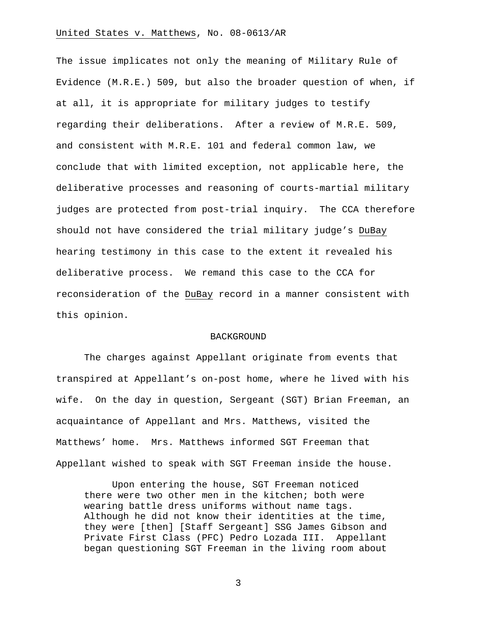The issue implicates not only the meaning of Military Rule of Evidence (M.R.E.) 509, but also the broader question of when, if at all, it is appropriate for military judges to testify regarding their deliberations. After a review of M.R.E. 509, and consistent with M.R.E. 101 and federal common law, we conclude that with limited exception, not applicable here, the deliberative processes and reasoning of courts-martial military judges are protected from post-trial inquiry. The CCA therefore should not have considered the trial military judge's DuBay hearing testimony in this case to the extent it revealed his deliberative process. We remand this case to the CCA for reconsideration of the DuBay record in a manner consistent with this opinion.

#### BACKGROUND

 The charges against Appellant originate from events that transpired at Appellant's on-post home, where he lived with his wife. On the day in question, Sergeant (SGT) Brian Freeman, an acquaintance of Appellant and Mrs. Matthews, visited the Matthews' home. Mrs. Matthews informed SGT Freeman that Appellant wished to speak with SGT Freeman inside the house.

Upon entering the house, SGT Freeman noticed there were two other men in the kitchen; both were wearing battle dress uniforms without name tags. Although he did not know their identities at the time, they were [then] [Staff Sergeant] SSG James Gibson and Private First Class (PFC) Pedro Lozada III. Appellant began questioning SGT Freeman in the living room about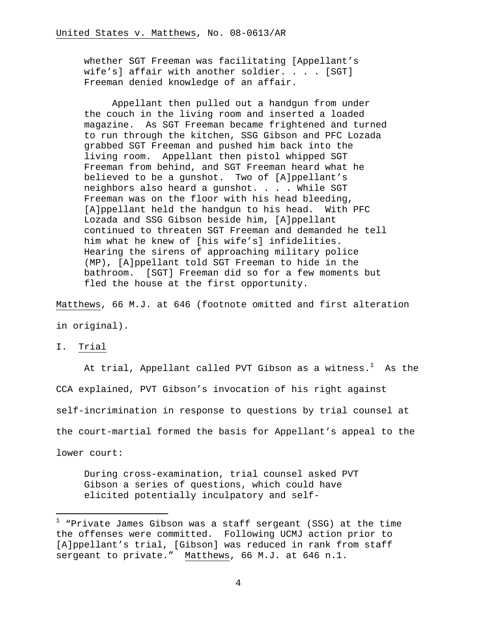whether SGT Freeman was facilitating [Appellant's wife's] affair with another soldier. . . . [SGT] Freeman denied knowledge of an affair.

Appellant then pulled out a handgun from under the couch in the living room and inserted a loaded magazine. As SGT Freeman became frightened and turned to run through the kitchen, SSG Gibson and PFC Lozada grabbed SGT Freeman and pushed him back into the living room. Appellant then pistol whipped SGT Freeman from behind, and SGT Freeman heard what he believed to be a gunshot. Two of [A]ppellant's neighbors also heard a gunshot. . . . While SGT Freeman was on the floor with his head bleeding, [A]ppellant held the handgun to his head. With PFC Lozada and SSG Gibson beside him, [A]ppellant continued to threaten SGT Freeman and demanded he tell him what he knew of [his wife's] infidelities. Hearing the sirens of approaching military police (MP), [A]ppellant told SGT Freeman to hide in the bathroom. [SGT] Freeman did so for a few moments but fled the house at the first opportunity.

Matthews, 66 M.J. at 646 (footnote omitted and first alteration in original).

I. Trial

i

At trial, Appellant called PVT Gibson as a witness. $^{\rm 1}$  As the CCA explained, PVT Gibson's invocation of his right against self-incrimination in response to questions by trial counsel at the court-martial formed the basis for Appellant's appeal to the lower court:

During cross-examination, trial counsel asked PVT Gibson a series of questions, which could have elicited potentially inculpatory and self-

 $^1$  "Private James Gibson was a staff sergeant (SSG) at the time the offenses were committed. Following UCMJ action prior to [A]ppellant's trial, [Gibson] was reduced in rank from staff sergeant to private." Matthews, 66 M.J. at 646 n.1.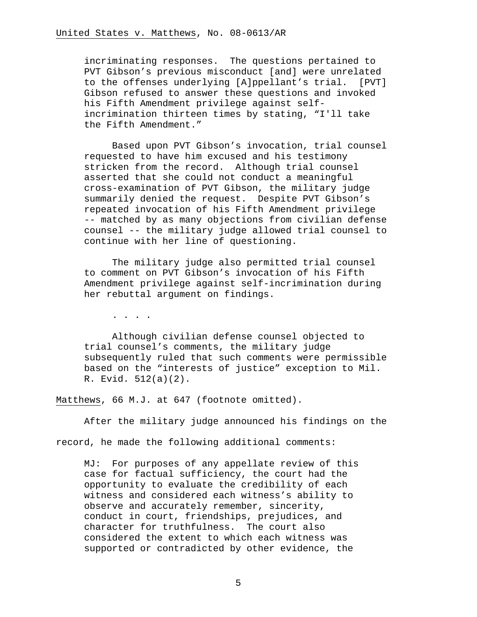incriminating responses. The questions pertained to PVT Gibson's previous misconduct [and] were unrelated to the offenses underlying [A]ppellant's trial. [PVT] Gibson refused to answer these questions and invoked his Fifth Amendment privilege against selfincrimination thirteen times by stating, "I'll take the Fifth Amendment."

Based upon PVT Gibson's invocation, trial counsel requested to have him excused and his testimony stricken from the record. Although trial counsel asserted that she could not conduct a meaningful cross-examination of PVT Gibson, the military judge summarily denied the request. Despite PVT Gibson's repeated invocation of his Fifth Amendment privilege -- matched by as many objections from civilian defense counsel -- the military judge allowed trial counsel to continue with her line of questioning.

The military judge also permitted trial counsel to comment on PVT Gibson's invocation of his Fifth Amendment privilege against self-incrimination during her rebuttal argument on findings.

. . . .

Although civilian defense counsel objected to trial counsel's comments, the military judge subsequently ruled that such comments were permissible based on the "interests of justice" exception to Mil. R. Evid. 512(a)(2).

Matthews, 66 M.J. at 647 (footnote omitted).

After the military judge announced his findings on the

record, he made the following additional comments:

MJ: For purposes of any appellate review of this case for factual sufficiency, the court had the opportunity to evaluate the credibility of each witness and considered each witness's ability to observe and accurately remember, sincerity, conduct in court, friendships, prejudices, and character for truthfulness. The court also considered the extent to which each witness was supported or contradicted by other evidence, the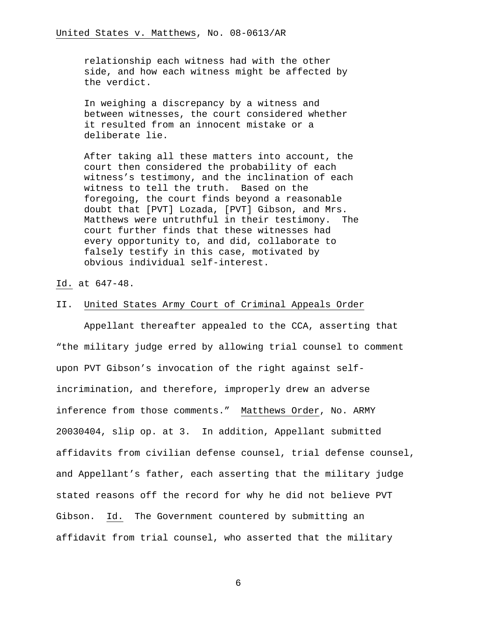relationship each witness had with the other side, and how each witness might be affected by the verdict.

In weighing a discrepancy by a witness and between witnesses, the court considered whether it resulted from an innocent mistake or a deliberate lie.

After taking all these matters into account, the court then considered the probability of each witness's testimony, and the inclination of each witness to tell the truth. Based on the foregoing, the court finds beyond a reasonable doubt that [PVT] Lozada, [PVT] Gibson, and Mrs. Matthews were untruthful in their testimony. The court further finds that these witnesses had every opportunity to, and did, collaborate to falsely testify in this case, motivated by obvious individual self-interest.

#### Id. at 647-48.

#### II. United States Army Court of Criminal Appeals Order

 Appellant thereafter appealed to the CCA, asserting that "the military judge erred by allowing trial counsel to comment upon PVT Gibson's invocation of the right against selfincrimination, and therefore, improperly drew an adverse inference from those comments." Matthews Order, No. ARMY 20030404, slip op. at 3. In addition, Appellant submitted affidavits from civilian defense counsel, trial defense counsel, and Appellant's father, each asserting that the military judge stated reasons off the record for why he did not believe PVT Gibson. Id. The Government countered by submitting an affidavit from trial counsel, who asserted that the military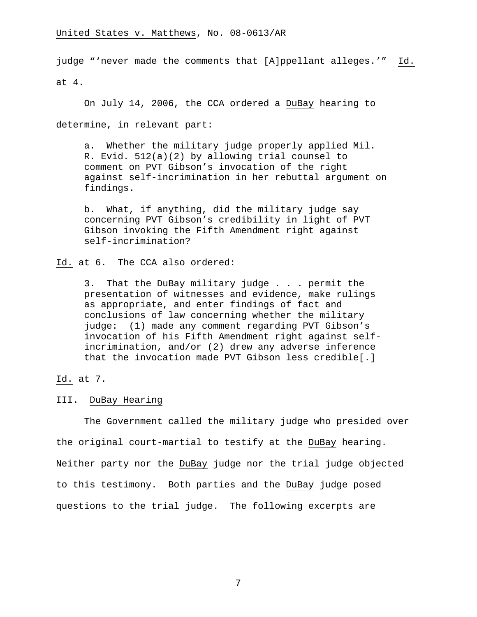judge "'never made the comments that [A]ppellant alleges.'" Id.

at 4.

On July 14, 2006, the CCA ordered a DuBay hearing to determine, in relevant part:

a. Whether the military judge properly applied Mil. R. Evid. 512(a)(2) by allowing trial counsel to comment on PVT Gibson's invocation of the right against self-incrimination in her rebuttal argument on findings.

b. What, if anything, did the military judge say concerning PVT Gibson's credibility in light of PVT Gibson invoking the Fifth Amendment right against self-incrimination?

Id. at 6. The CCA also ordered:

3. That the DuBay military judge . . . permit the presentation of witnesses and evidence, make rulings as appropriate, and enter findings of fact and conclusions of law concerning whether the military judge: (1) made any comment regarding PVT Gibson's invocation of his Fifth Amendment right against selfincrimination, and/or (2) drew any adverse inference that the invocation made PVT Gibson less credible[.]

Id. at 7.

III. DuBay Hearing

 The Government called the military judge who presided over the original court-martial to testify at the DuBay hearing. Neither party nor the DuBay judge nor the trial judge objected to this testimony. Both parties and the DuBay judge posed questions to the trial judge. The following excerpts are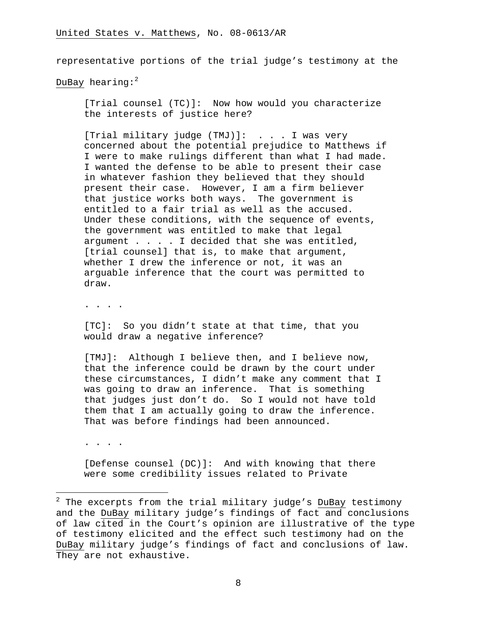representative portions of the trial judge's testimony at the

DuBay hearing: $2^2$ 

[Trial counsel (TC)]: Now how would you characterize the interests of justice here?

[Trial military judge (TMJ)]: . . . I was very concerned about the potential prejudice to Matthews if I were to make rulings different than what I had made. I wanted the defense to be able to present their case in whatever fashion they believed that they should present their case. However, I am a firm believer that justice works both ways. The government is entitled to a fair trial as well as the accused. Under these conditions, with the sequence of events, the government was entitled to make that legal argument . . . . I decided that she was entitled, [trial counsel] that is, to make that argument, whether I drew the inference or not, it was an arguable inference that the court was permitted to draw.

. . . .

[TC]: So you didn't state at that time, that you would draw a negative inference?

[TMJ]: Although I believe then, and I believe now, that the inference could be drawn by the court under these circumstances, I didn't make any comment that I was going to draw an inference. That is something that judges just don't do. So I would not have told them that I am actually going to draw the inference. That was before findings had been announced.

. . . .

[Defense counsel (DC)]: And with knowing that there were some credibility issues related to Private

 2 The excerpts from the trial military judge's DuBay testimony and the DuBay military judge's findings of fact and conclusions of law cited in the Court's opinion are illustrative of the type of testimony elicited and the effect such testimony had on the DuBay military judge's findings of fact and conclusions of law. They are not exhaustive.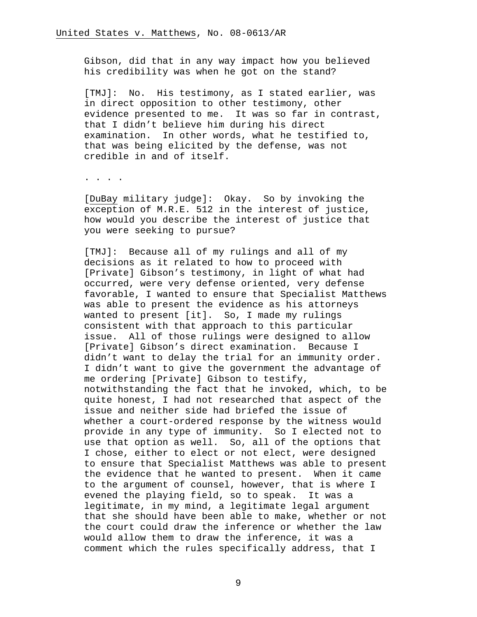Gibson, did that in any way impact how you believed his credibility was when he got on the stand?

[TMJ]: No. His testimony, as I stated earlier, was in direct opposition to other testimony, other evidence presented to me. It was so far in contrast, that I didn't believe him during his direct examination. In other words, what he testified to, that was being elicited by the defense, was not credible in and of itself.

. . . .

[DuBay military judge]: Okay. So by invoking the exception of M.R.E. 512 in the interest of justice, how would you describe the interest of justice that you were seeking to pursue?

[TMJ]: Because all of my rulings and all of my decisions as it related to how to proceed with [Private] Gibson's testimony, in light of what had occurred, were very defense oriented, very defense favorable, I wanted to ensure that Specialist Matthews was able to present the evidence as his attorneys wanted to present [it]. So, I made my rulings consistent with that approach to this particular issue. All of those rulings were designed to allow [Private] Gibson's direct examination. Because I didn't want to delay the trial for an immunity order. I didn't want to give the government the advantage of me ordering [Private] Gibson to testify, notwithstanding the fact that he invoked, which, to be quite honest, I had not researched that aspect of the issue and neither side had briefed the issue of whether a court-ordered response by the witness would provide in any type of immunity. So I elected not to use that option as well. So, all of the options that I chose, either to elect or not elect, were designed to ensure that Specialist Matthews was able to present the evidence that he wanted to present. When it came to the argument of counsel, however, that is where I evened the playing field, so to speak. It was a legitimate, in my mind, a legitimate legal argument that she should have been able to make, whether or not the court could draw the inference or whether the law would allow them to draw the inference, it was a comment which the rules specifically address, that I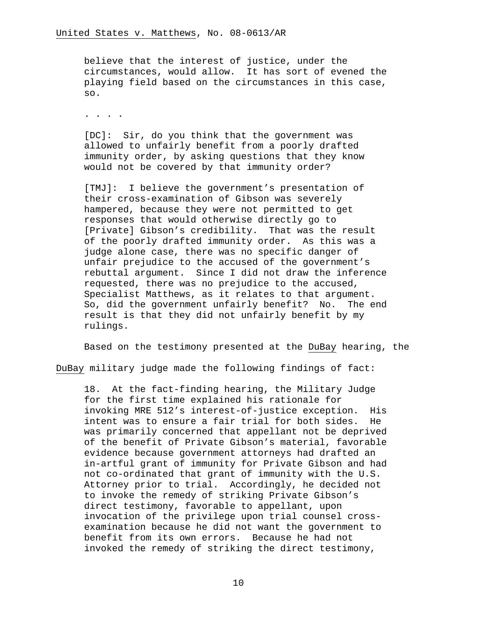believe that the interest of justice, under the circumstances, would allow. It has sort of evened the playing field based on the circumstances in this case, so.

. . . .

[DC]: Sir, do you think that the government was allowed to unfairly benefit from a poorly drafted immunity order, by asking questions that they know would not be covered by that immunity order?

[TMJ]: I believe the government's presentation of their cross-examination of Gibson was severely hampered, because they were not permitted to get responses that would otherwise directly go to [Private] Gibson's credibility. That was the result of the poorly drafted immunity order. As this was a judge alone case, there was no specific danger of unfair prejudice to the accused of the government's rebuttal argument. Since I did not draw the inference requested, there was no prejudice to the accused, Specialist Matthews, as it relates to that argument. So, did the government unfairly benefit? No. The end result is that they did not unfairly benefit by my rulings.

Based on the testimony presented at the DuBay hearing, the

DuBay military judge made the following findings of fact:

18. At the fact-finding hearing, the Military Judge for the first time explained his rationale for invoking MRE 512's interest-of-justice exception. His intent was to ensure a fair trial for both sides. He was primarily concerned that appellant not be deprived of the benefit of Private Gibson's material, favorable evidence because government attorneys had drafted an in-artful grant of immunity for Private Gibson and had not co-ordinated that grant of immunity with the U.S. Attorney prior to trial. Accordingly, he decided not to invoke the remedy of striking Private Gibson's direct testimony, favorable to appellant, upon invocation of the privilege upon trial counsel crossexamination because he did not want the government to benefit from its own errors. Because he had not invoked the remedy of striking the direct testimony,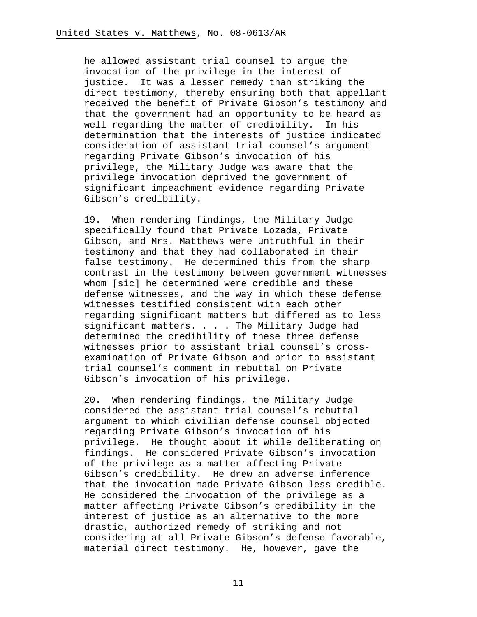he allowed assistant trial counsel to argue the invocation of the privilege in the interest of justice. It was a lesser remedy than striking the direct testimony, thereby ensuring both that appellant received the benefit of Private Gibson's testimony and that the government had an opportunity to be heard as well regarding the matter of credibility. In his determination that the interests of justice indicated consideration of assistant trial counsel's argument regarding Private Gibson's invocation of his privilege, the Military Judge was aware that the privilege invocation deprived the government of significant impeachment evidence regarding Private Gibson's credibility.

19. When rendering findings, the Military Judge specifically found that Private Lozada, Private Gibson, and Mrs. Matthews were untruthful in their testimony and that they had collaborated in their false testimony. He determined this from the sharp contrast in the testimony between government witnesses whom [sic] he determined were credible and these defense witnesses, and the way in which these defense witnesses testified consistent with each other regarding significant matters but differed as to less significant matters. . . . The Military Judge had determined the credibility of these three defense witnesses prior to assistant trial counsel's crossexamination of Private Gibson and prior to assistant trial counsel's comment in rebuttal on Private Gibson's invocation of his privilege.

20. When rendering findings, the Military Judge considered the assistant trial counsel's rebuttal argument to which civilian defense counsel objected regarding Private Gibson's invocation of his privilege. He thought about it while deliberating on findings. He considered Private Gibson's invocation of the privilege as a matter affecting Private Gibson's credibility. He drew an adverse inference that the invocation made Private Gibson less credible. He considered the invocation of the privilege as a matter affecting Private Gibson's credibility in the interest of justice as an alternative to the more drastic, authorized remedy of striking and not considering at all Private Gibson's defense-favorable, material direct testimony. He, however, gave the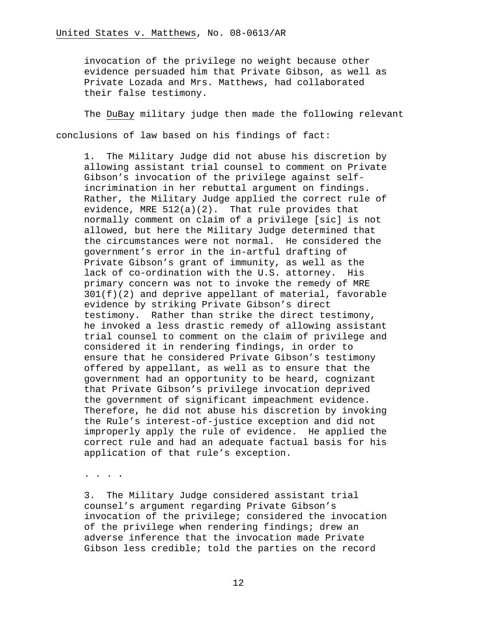invocation of the privilege no weight because other evidence persuaded him that Private Gibson, as well as Private Lozada and Mrs. Matthews, had collaborated their false testimony.

 The DuBay military judge then made the following relevant conclusions of law based on his findings of fact:

1. The Military Judge did not abuse his discretion by allowing assistant trial counsel to comment on Private Gibson's invocation of the privilege against selfincrimination in her rebuttal argument on findings. Rather, the Military Judge applied the correct rule of evidence, MRE 512(a)(2). That rule provides that normally comment on claim of a privilege [sic] is not allowed, but here the Military Judge determined that the circumstances were not normal. He considered the government's error in the in-artful drafting of Private Gibson's grant of immunity, as well as the lack of co-ordination with the U.S. attorney. His primary concern was not to invoke the remedy of MRE  $301(f)(2)$  and deprive appellant of material, favorable evidence by striking Private Gibson's direct testimony. Rather than strike the direct testimony, he invoked a less drastic remedy of allowing assistant trial counsel to comment on the claim of privilege and considered it in rendering findings, in order to ensure that he considered Private Gibson's testimony offered by appellant, as well as to ensure that the government had an opportunity to be heard, cognizant that Private Gibson's privilege invocation deprived the government of significant impeachment evidence. Therefore, he did not abuse his discretion by invoking the Rule's interest-of-justice exception and did not improperly apply the rule of evidence. He applied the correct rule and had an adequate factual basis for his application of that rule's exception.

. . . .

3. The Military Judge considered assistant trial counsel's argument regarding Private Gibson's invocation of the privilege; considered the invocation of the privilege when rendering findings; drew an adverse inference that the invocation made Private Gibson less credible; told the parties on the record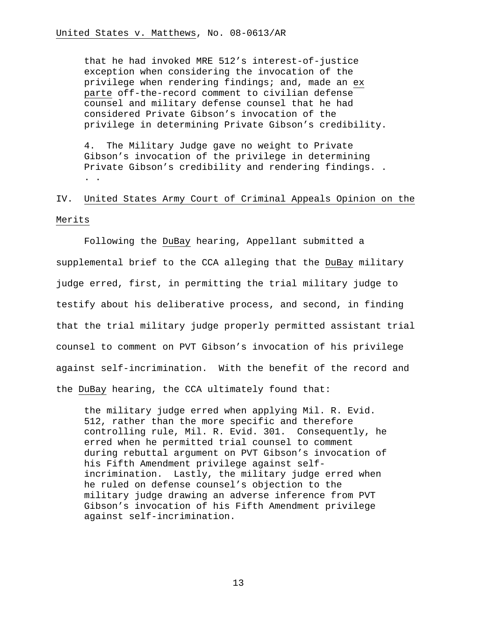that he had invoked MRE 512's interest-of-justice exception when considering the invocation of the privilege when rendering findings; and, made an ex parte off-the-record comment to civilian defense counsel and military defense counsel that he had considered Private Gibson's invocation of the privilege in determining Private Gibson's credibility.

4. The Military Judge gave no weight to Private Gibson's invocation of the privilege in determining Private Gibson's credibility and rendering findings. . . .

# IV. United States Army Court of Criminal Appeals Opinion on the Merits

 Following the DuBay hearing, Appellant submitted a supplemental brief to the CCA alleging that the DuBay military judge erred, first, in permitting the trial military judge to testify about his deliberative process, and second, in finding that the trial military judge properly permitted assistant trial counsel to comment on PVT Gibson's invocation of his privilege against self-incrimination. With the benefit of the record and the DuBay hearing, the CCA ultimately found that:

the military judge erred when applying Mil. R. Evid. 512, rather than the more specific and therefore controlling rule, Mil. R. Evid. 301. Consequently, he erred when he permitted trial counsel to comment during rebuttal argument on PVT Gibson's invocation of his Fifth Amendment privilege against selfincrimination. Lastly, the military judge erred when he ruled on defense counsel's objection to the military judge drawing an adverse inference from PVT Gibson's invocation of his Fifth Amendment privilege against self-incrimination.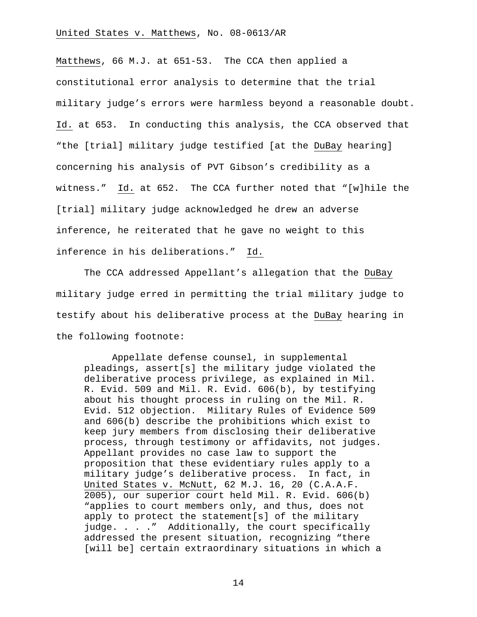Matthews, 66 M.J. at 651-53. The CCA then applied a constitutional error analysis to determine that the trial military judge's errors were harmless beyond a reasonable doubt. Id. at 653. In conducting this analysis, the CCA observed that "the [trial] military judge testified [at the DuBay hearing] concerning his analysis of PVT Gibson's credibility as a witness." Id. at 652. The CCA further noted that "[w]hile the [trial] military judge acknowledged he drew an adverse inference, he reiterated that he gave no weight to this inference in his deliberations." Id.

 The CCA addressed Appellant's allegation that the DuBay military judge erred in permitting the trial military judge to testify about his deliberative process at the DuBay hearing in the following footnote:

Appellate defense counsel, in supplemental pleadings, assert[s] the military judge violated the deliberative process privilege, as explained in Mil. R. Evid. 509 and Mil. R. Evid. 606(b), by testifying about his thought process in ruling on the Mil. R. Evid. 512 objection. Military Rules of Evidence 509 and 606(b) describe the prohibitions which exist to keep jury members from disclosing their deliberative process, through testimony or affidavits, not judges. Appellant provides no case law to support the proposition that these evidentiary rules apply to a military judge's deliberative process. In fact, in United States v. McNutt, 62 M.J. 16, 20 (C.A.A.F. 2005), our superior court held Mil. R. Evid. 606(b) "applies to court members only, and thus, does not apply to protect the statement[s] of the military judge. . . ." Additionally, the court specifically addressed the present situation, recognizing "there [will be] certain extraordinary situations in which a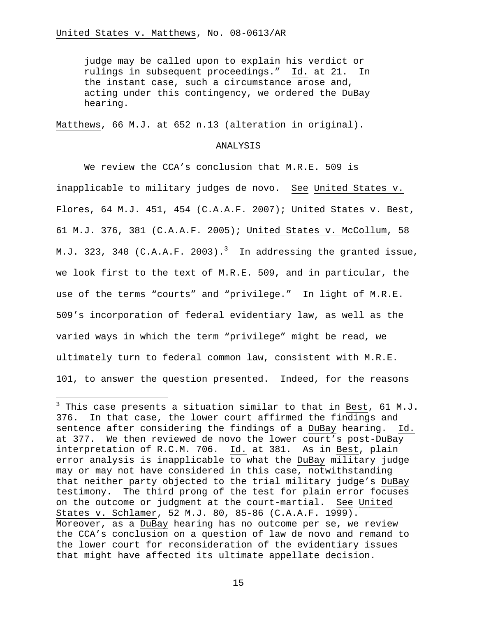i

judge may be called upon to explain his verdict or rulings in subsequent proceedings." Id. at 21. In the instant case, such a circumstance arose and, acting under this contingency, we ordered the DuBay hearing.

Matthews, 66 M.J. at 652 n.13 (alteration in original).

### ANALYSIS

 We review the CCA's conclusion that M.R.E. 509 is inapplicable to military judges de novo. See United States v. Flores, 64 M.J. 451, 454 (C.A.A.F. 2007); United States v. Best, 61 M.J. 376, 381 (C.A.A.F. 2005); United States v. McCollum, 58 M.J. 323, 340 (C.A.A.F. 2003). $^3$  In addressing the granted issue, we look first to the text of M.R.E. 509, and in particular, the use of the terms "courts" and "privilege." In light of M.R.E. 509's incorporation of federal evidentiary law, as well as the varied ways in which the term "privilege" might be read, we ultimately turn to federal common law, consistent with M.R.E. 101, to answer the question presented. Indeed, for the reasons

 $^3$  This case presents a situation similar to that in <u>Best</u>, 61 M.J. 376. In that case, the lower court affirmed the findings and sentence after considering the findings of a DuBay hearing. Id. at 377. We then reviewed de novo the lower court's post-DuBay interpretation of R.C.M. 706. Id. at 381. As in Best, plain error analysis is inapplicable to what the DuBay military judge may or may not have considered in this case, notwithstanding that neither party objected to the trial military judge's DuBay testimony. The third prong of the test for plain error focuses on the outcome or judgment at the court-martial. See United States v. Schlamer, 52 M.J. 80, 85-86 (C.A.A.F. 1999). Moreover, as a DuBay hearing has no outcome per se, we review the CCA's conclusion on a question of law de novo and remand to the lower court for reconsideration of the evidentiary issues that might have affected its ultimate appellate decision.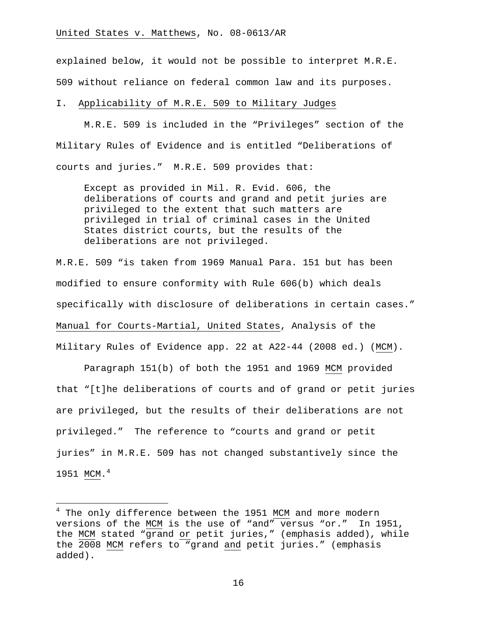explained below, it would not be possible to interpret M.R.E. 509 without reliance on federal common law and its purposes.

## I. Applicability of M.R.E. 509 to Military Judges

 M.R.E. 509 is included in the "Privileges" section of the Military Rules of Evidence and is entitled "Deliberations of courts and juries." M.R.E. 509 provides that:

Except as provided in Mil. R. Evid. 606, the deliberations of courts and grand and petit juries are privileged to the extent that such matters are privileged in trial of criminal cases in the United States district courts, but the results of the deliberations are not privileged.

M.R.E. 509 "is taken from 1969 Manual Para. 151 but has been modified to ensure conformity with Rule 606(b) which deals specifically with disclosure of deliberations in certain cases." Manual for Courts-Martial, United States, Analysis of the Military Rules of Evidence app. 22 at A22-44 (2008 ed.) (MCM).

Paragraph 151(b) of both the 1951 and 1969 MCM provided that "[t]he deliberations of courts and of grand or petit juries are privileged, but the results of their deliberations are not privileged." The reference to "courts and grand or petit juries" in M.R.E. 509 has not changed substantively since the 1951 MCM.<sup>4</sup>

i<br>Li

<sup>&</sup>lt;sup>4</sup> The only difference between the 1951 MCM and more modern versions of the MCM is the use of "and" versus "or." In 1951, the MCM stated "grand or petit juries," (emphasis added), while the 2008 MCM refers to "grand and petit juries." (emphasis added).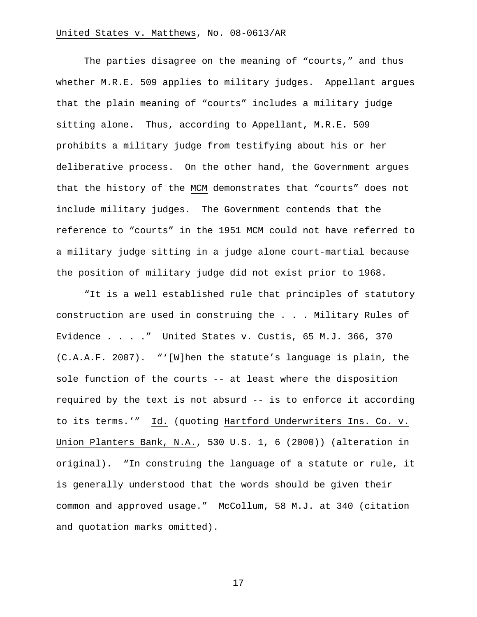The parties disagree on the meaning of "courts," and thus whether M.R.E. 509 applies to military judges. Appellant argues that the plain meaning of "courts" includes a military judge sitting alone. Thus, according to Appellant, M.R.E. 509 prohibits a military judge from testifying about his or her deliberative process. On the other hand, the Government argues that the history of the MCM demonstrates that "courts" does not include military judges. The Government contends that the reference to "courts" in the 1951 MCM could not have referred to a military judge sitting in a judge alone court-martial because the position of military judge did not exist prior to 1968.

"It is a well established rule that principles of statutory construction are used in construing the . . . Military Rules of Evidence . . . ." United States v. Custis, 65 M.J. 366, 370 (C.A.A.F. 2007). "'[W]hen the statute's language is plain, the sole function of the courts -- at least where the disposition required by the text is not absurd -- is to enforce it according to its terms.'" Id. (quoting Hartford Underwriters Ins. Co. v. Union Planters Bank, N.A., 530 U.S. 1, 6 (2000)) (alteration in original). "In construing the language of a statute or rule, it is generally understood that the words should be given their common and approved usage." McCollum, 58 M.J. at 340 (citation and quotation marks omitted).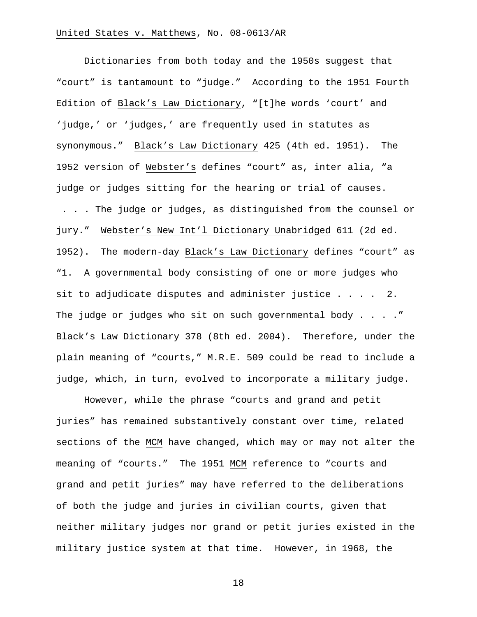Dictionaries from both today and the 1950s suggest that "court" is tantamount to "judge." According to the 1951 Fourth Edition of Black's Law Dictionary, "[t]he words 'court' and 'judge,' or 'judges,' are frequently used in statutes as synonymous." Black's Law Dictionary 425 (4th ed. 1951). The 1952 version of Webster's defines "court" as, inter alia, "a judge or judges sitting for the hearing or trial of causes. . . . The judge or judges, as distinguished from the counsel or jury." Webster's New Int'l Dictionary Unabridged 611 (2d ed. 1952). The modern-day Black's Law Dictionary defines "court" as "1. A governmental body consisting of one or more judges who sit to adjudicate disputes and administer justice  $\ldots$  . . . 2. The judge or judges who sit on such governmental body . . . . " Black's Law Dictionary 378 (8th ed. 2004). Therefore, under the plain meaning of "courts," M.R.E. 509 could be read to include a judge, which, in turn, evolved to incorporate a military judge.

However, while the phrase "courts and grand and petit juries" has remained substantively constant over time, related sections of the MCM have changed, which may or may not alter the meaning of "courts." The 1951 MCM reference to "courts and grand and petit juries" may have referred to the deliberations of both the judge and juries in civilian courts, given that neither military judges nor grand or petit juries existed in the military justice system at that time. However, in 1968, the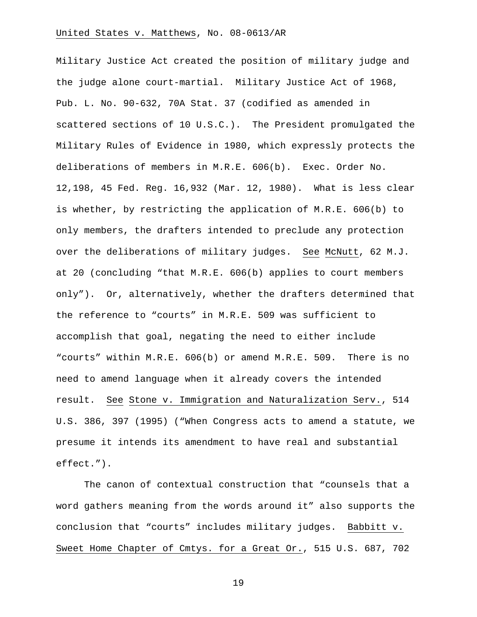Military Justice Act created the position of military judge and the judge alone court-martial. Military Justice Act of 1968, Pub. L. No. 90-632, 70A Stat. 37 (codified as amended in scattered sections of 10 U.S.C.). The President promulgated the Military Rules of Evidence in 1980, which expressly protects the deliberations of members in M.R.E. 606(b). Exec. Order No. 12,198, 45 Fed. Reg. 16,932 (Mar. 12, 1980). What is less clear is whether, by restricting the application of M.R.E. 606(b) to only members, the drafters intended to preclude any protection over the deliberations of military judges. See McNutt, 62 M.J. at 20 (concluding "that M.R.E. 606(b) applies to court members only"). Or, alternatively, whether the drafters determined that the reference to "courts" in M.R.E. 509 was sufficient to accomplish that goal, negating the need to either include "courts" within M.R.E. 606(b) or amend M.R.E. 509. There is no need to amend language when it already covers the intended result. See Stone v. Immigration and Naturalization Serv., 514 U.S. 386, 397 (1995) ("When Congress acts to amend a statute, we presume it intends its amendment to have real and substantial effect.").

The canon of contextual construction that "counsels that a word gathers meaning from the words around it" also supports the conclusion that "courts" includes military judges. Babbitt v. Sweet Home Chapter of Cmtys. for a Great Or., 515 U.S. 687, 702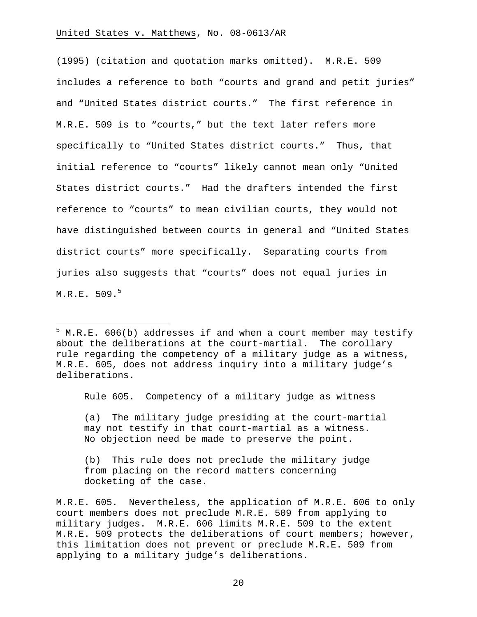(1995) (citation and quotation marks omitted). M.R.E. 509 includes a reference to both "courts and grand and petit juries" and "United States district courts." The first reference in M.R.E. 509 is to "courts," but the text later refers more specifically to "United States district courts." Thus, that initial reference to "courts" likely cannot mean only "United States district courts." Had the drafters intended the first reference to "courts" to mean civilian courts, they would not have distinguished between courts in general and "United States district courts" more specifically. Separating courts from juries also suggests that "courts" does not equal juries in  $M.R.E.~509.^5$ 

Rule 605. Competency of a military judge as witness

(a) The military judge presiding at the court-martial may not testify in that court-martial as a witness. No objection need be made to preserve the point.

(b) This rule does not preclude the military judge from placing on the record matters concerning docketing of the case.

M.R.E. 605. Nevertheless, the application of M.R.E. 606 to only court members does not preclude M.R.E. 509 from applying to military judges. M.R.E. 606 limits M.R.E. 509 to the extent M.R.E. 509 protects the deliberations of court members; however, this limitation does not prevent or preclude M.R.E. 509 from applying to a military judge's deliberations.

 5 M.R.E. 606(b) addresses if and when a court member may testify about the deliberations at the court-martial. The corollary rule regarding the competency of a military judge as a witness, M.R.E. 605, does not address inquiry into a military judge's deliberations.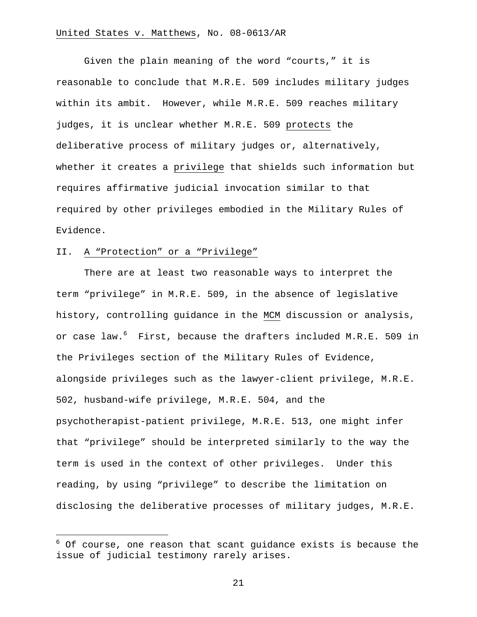Given the plain meaning of the word "courts," it is reasonable to conclude that M.R.E. 509 includes military judges within its ambit. However, while M.R.E. 509 reaches military judges, it is unclear whether M.R.E. 509 protects the deliberative process of military judges or, alternatively, whether it creates a privilege that shields such information but requires affirmative judicial invocation similar to that required by other privileges embodied in the Military Rules of Evidence.

#### II. A "Protection" or a "Privilege"

i<br>Li

There are at least two reasonable ways to interpret the term "privilege" in M.R.E. 509, in the absence of legislative history, controlling guidance in the MCM discussion or analysis, or case law.<sup>6</sup> First, because the drafters included M.R.E. 509 in the Privileges section of the Military Rules of Evidence, alongside privileges such as the lawyer-client privilege, M.R.E. 502, husband-wife privilege, M.R.E. 504, and the psychotherapist-patient privilege, M.R.E. 513, one might infer that "privilege" should be interpreted similarly to the way the term is used in the context of other privileges. Under this reading, by using "privilege" to describe the limitation on disclosing the deliberative processes of military judges, M.R.E.

 $^6$  Of course, one reason that scant guidance exists is because the issue of judicial testimony rarely arises.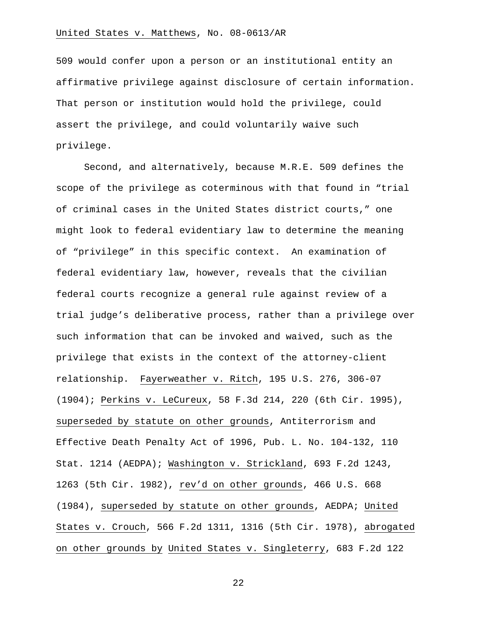509 would confer upon a person or an institutional entity an affirmative privilege against disclosure of certain information. That person or institution would hold the privilege, could assert the privilege, and could voluntarily waive such privilege.

Second, and alternatively, because M.R.E. 509 defines the scope of the privilege as coterminous with that found in "trial of criminal cases in the United States district courts," one might look to federal evidentiary law to determine the meaning of "privilege" in this specific context. An examination of federal evidentiary law, however, reveals that the civilian federal courts recognize a general rule against review of a trial judge's deliberative process, rather than a privilege over such information that can be invoked and waived, such as the privilege that exists in the context of the attorney-client relationship. Fayerweather v. Ritch, 195 U.S. 276, 306-07 (1904); Perkins v. LeCureux, 58 F.3d 214, 220 (6th Cir. 1995), superseded by statute on other grounds, Antiterrorism and Effective Death Penalty Act of 1996, Pub. L. No. 104-132, 110 Stat. 1214 (AEDPA); Washington v. Strickland, 693 F.2d 1243, 1263 (5th Cir. 1982), rev'd on other grounds, 466 U.S. 668 (1984), superseded by statute on other grounds, AEDPA; United States v. Crouch, 566 F.2d 1311, 1316 (5th Cir. 1978), abrogated on other grounds by United States v. Singleterry, 683 F.2d 122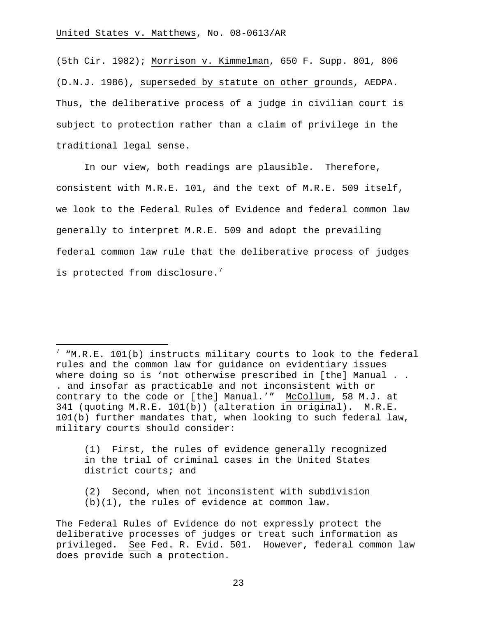i

(5th Cir. 1982); Morrison v. Kimmelman, 650 F. Supp. 801, 806 (D.N.J. 1986), superseded by statute on other grounds, AEDPA. Thus, the deliberative process of a judge in civilian court is subject to protection rather than a claim of privilege in the traditional legal sense.

In our view, both readings are plausible. Therefore, consistent with M.R.E. 101, and the text of M.R.E. 509 itself, we look to the Federal Rules of Evidence and federal common law generally to interpret M.R.E. 509 and adopt the prevailing federal common law rule that the deliberative process of judges is protected from disclosure.<sup>7</sup>

(1) First, the rules of evidence generally recognized in the trial of criminal cases in the United States district courts; and

(2) Second, when not inconsistent with subdivision (b)(1), the rules of evidence at common law.

 $^7$  "M.R.E. 101(b) instructs military courts to look to the federal rules and the common law for guidance on evidentiary issues where doing so is 'not otherwise prescribed in [the] Manual . . . and insofar as practicable and not inconsistent with or contrary to the code or [the] Manual.'" McCollum, 58 M.J. at 341 (quoting M.R.E. 101(b)) (alteration in original). M.R.E. 101(b) further mandates that, when looking to such federal law, military courts should consider:

The Federal Rules of Evidence do not expressly protect the deliberative processes of judges or treat such information as privileged. See Fed. R. Evid. 501. However, federal common law does provide such a protection.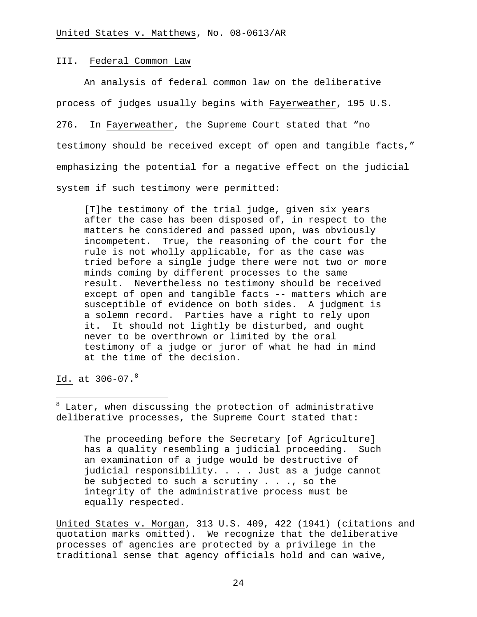#### III. Federal Common Law

 An analysis of federal common law on the deliberative process of judges usually begins with Fayerweather, 195 U.S. 276. In Fayerweather, the Supreme Court stated that "no testimony should be received except of open and tangible facts," emphasizing the potential for a negative effect on the judicial system if such testimony were permitted:

[T]he testimony of the trial judge, given six years after the case has been disposed of, in respect to the matters he considered and passed upon, was obviously incompetent. True, the reasoning of the court for the rule is not wholly applicable, for as the case was tried before a single judge there were not two or more minds coming by different processes to the same result. Nevertheless no testimony should be received except of open and tangible facts -- matters which are susceptible of evidence on both sides. A judgment is a solemn record. Parties have a right to rely upon it. It should not lightly be disturbed, and ought never to be overthrown or limited by the oral testimony of a judge or juror of what he had in mind at the time of the decision.

Id. at  $306-07.^8$ 

i

8 Later, when discussing the protection of administrative deliberative processes, the Supreme Court stated that:

The proceeding before the Secretary [of Agriculture] has a quality resembling a judicial proceeding. Such an examination of a judge would be destructive of judicial responsibility. . . . Just as a judge cannot be subjected to such a scrutiny . . ., so the integrity of the administrative process must be equally respected.

United States v. Morgan, 313 U.S. 409, 422 (1941) (citations and quotation marks omitted). We recognize that the deliberative processes of agencies are protected by a privilege in the traditional sense that agency officials hold and can waive,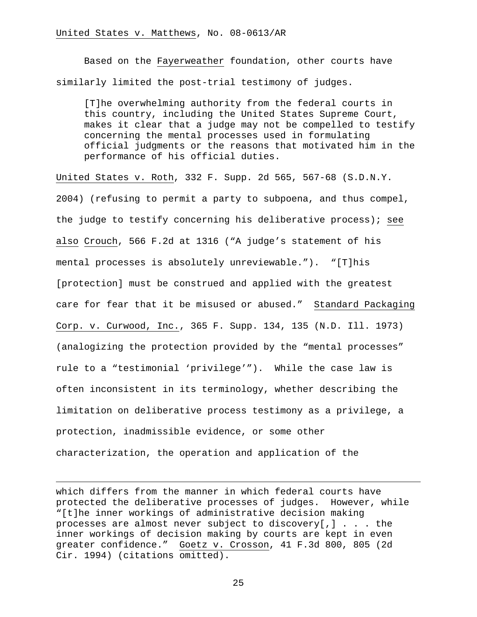Based on the Fayerweather foundation, other courts have similarly limited the post-trial testimony of judges.

[T]he overwhelming authority from the federal courts in this country, including the United States Supreme Court, makes it clear that a judge may not be compelled to testify concerning the mental processes used in formulating official judgments or the reasons that motivated him in the performance of his official duties.

United States v. Roth, 332 F. Supp. 2d 565, 567-68 (S.D.N.Y. 2004) (refusing to permit a party to subpoena, and thus compel, the judge to testify concerning his deliberative process); see also Crouch, 566 F.2d at 1316 ("A judge's statement of his mental processes is absolutely unreviewable."). "[T]his [protection] must be construed and applied with the greatest care for fear that it be misused or abused." Standard Packaging Corp. v. Curwood, Inc., 365 F. Supp. 134, 135 (N.D. Ill. 1973) (analogizing the protection provided by the "mental processes" rule to a "testimonial 'privilege'"). While the case law is often inconsistent in its terminology, whether describing the limitation on deliberative process testimony as a privilege, a protection, inadmissible evidence, or some other characterization, the operation and application of the

which differs from the manner in which federal courts have protected the deliberative processes of judges. However, while "[t]he inner workings of administrative decision making processes are almost never subject to discovery[,] . . . the inner workings of decision making by courts are kept in even greater confidence." Goetz v. Crosson, 41 F.3d 800, 805 (2d Cir. 1994) (citations omitted).

i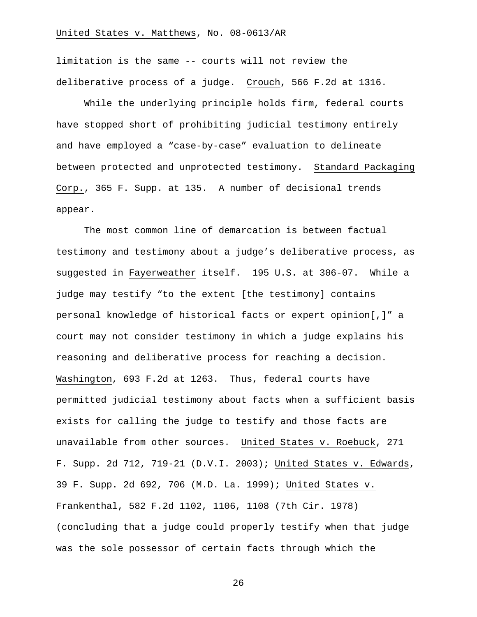limitation is the same -- courts will not review the deliberative process of a judge. Crouch, 566 F.2d at 1316.

While the underlying principle holds firm, federal courts have stopped short of prohibiting judicial testimony entirely and have employed a "case-by-case" evaluation to delineate between protected and unprotected testimony. Standard Packaging Corp., 365 F. Supp. at 135. A number of decisional trends appear.

The most common line of demarcation is between factual testimony and testimony about a judge's deliberative process, as suggested in Fayerweather itself. 195 U.S. at 306-07. While a judge may testify "to the extent [the testimony] contains personal knowledge of historical facts or expert opinion[,]" a court may not consider testimony in which a judge explains his reasoning and deliberative process for reaching a decision. Washington, 693 F.2d at 1263. Thus, federal courts have permitted judicial testimony about facts when a sufficient basis exists for calling the judge to testify and those facts are unavailable from other sources. United States v. Roebuck, 271 F. Supp. 2d 712, 719-21 (D.V.I. 2003); United States v. Edwards, 39 F. Supp. 2d 692, 706 (M.D. La. 1999); United States v. Frankenthal, 582 F.2d 1102, 1106, 1108 (7th Cir. 1978) (concluding that a judge could properly testify when that judge was the sole possessor of certain facts through which the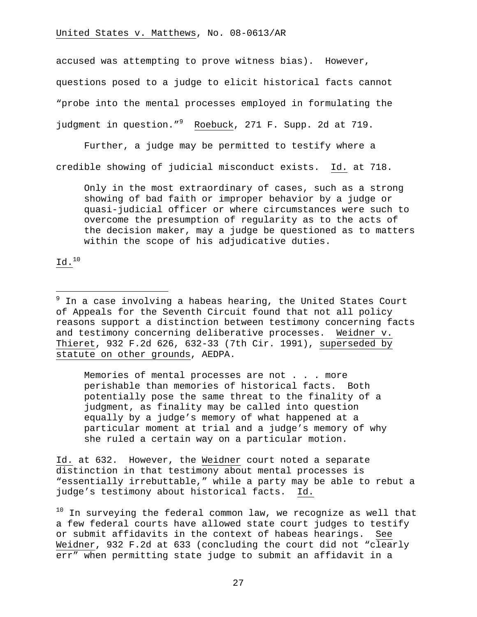accused was attempting to prove witness bias). However, questions posed to a judge to elicit historical facts cannot "probe into the mental processes employed in formulating the judgment in question."<sup>9</sup> Roebuck, 271 F. Supp. 2d at 719.

Further, a judge may be permitted to testify where a credible showing of judicial misconduct exists. Id. at 718.

Only in the most extraordinary of cases, such as a strong showing of bad faith or improper behavior by a judge or quasi-judicial officer or where circumstances were such to overcome the presumption of regularity as to the acts of the decision maker, may a judge be questioned as to matters within the scope of his adjudicative duties.

Id.10

 9 In a case involving a habeas hearing, the United States Court of Appeals for the Seventh Circuit found that not all policy reasons support a distinction between testimony concerning facts and testimony concerning deliberative processes. Weidner v. Thieret, 932 F.2d 626, 632-33 (7th Cir. 1991), superseded by statute on other grounds, AEDPA.

Memories of mental processes are not . . . more perishable than memories of historical facts. Both potentially pose the same threat to the finality of a judgment, as finality may be called into question equally by a judge's memory of what happened at a particular moment at trial and a judge's memory of why she ruled a certain way on a particular motion.

Id. at 632. However, the Weidner court noted a separate distinction in that testimony about mental processes is "essentially irrebuttable," while a party may be able to rebut a judge's testimony about historical facts. Id.

 $10$  In surveying the federal common law, we recognize as well that a few federal courts have allowed state court judges to testify or submit affidavits in the context of habeas hearings. See Weidner, 932 F.2d at 633 (concluding the court did not "clearly err" when permitting state judge to submit an affidavit in a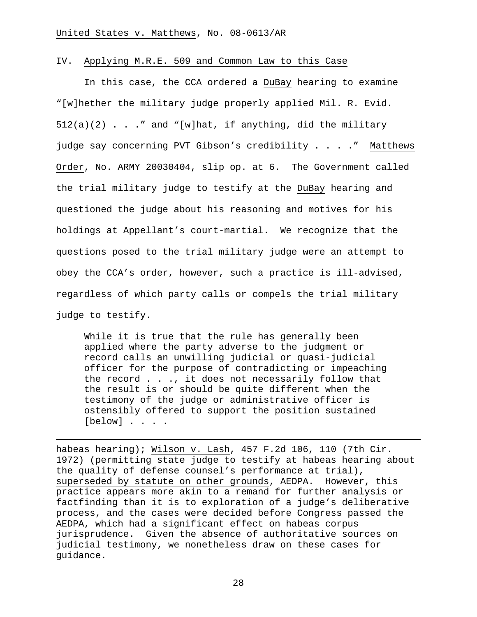#### IV. Applying M.R.E. 509 and Common Law to this Case

In this case, the CCA ordered a DuBay hearing to examine "[w]hether the military judge properly applied Mil. R. Evid.  $512(a)(2)$  . . ." and "[w]hat, if anything, did the military judge say concerning PVT Gibson's credibility . . . ." Matthews Order, No. ARMY 20030404, slip op. at 6. The Government called the trial military judge to testify at the DuBay hearing and questioned the judge about his reasoning and motives for his holdings at Appellant's court-martial. We recognize that the questions posed to the trial military judge were an attempt to obey the CCA's order, however, such a practice is ill-advised, regardless of which party calls or compels the trial military judge to testify.

While it is true that the rule has generally been applied where the party adverse to the judgment or record calls an unwilling judicial or quasi-judicial officer for the purpose of contradicting or impeaching the record . . ., it does not necessarily follow that the result is or should be quite different when the testimony of the judge or administrative officer is ostensibly offered to support the position sustained [below] . . . .

i

habeas hearing); Wilson v. Lash, 457 F.2d 106, 110 (7th Cir. 1972) (permitting state judge to testify at habeas hearing about the quality of defense counsel's performance at trial), superseded by statute on other grounds, AEDPA. However, this practice appears more akin to a remand for further analysis or factfinding than it is to exploration of a judge's deliberative process, and the cases were decided before Congress passed the AEDPA, which had a significant effect on habeas corpus jurisprudence. Given the absence of authoritative sources on judicial testimony, we nonetheless draw on these cases for guidance.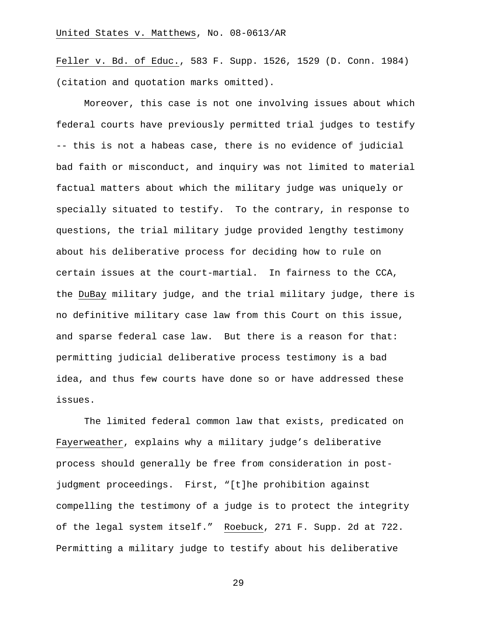Feller v. Bd. of Educ., 583 F. Supp. 1526, 1529 (D. Conn. 1984) (citation and quotation marks omitted).

Moreover, this case is not one involving issues about which federal courts have previously permitted trial judges to testify -- this is not a habeas case, there is no evidence of judicial bad faith or misconduct, and inquiry was not limited to material factual matters about which the military judge was uniquely or specially situated to testify. To the contrary, in response to questions, the trial military judge provided lengthy testimony about his deliberative process for deciding how to rule on certain issues at the court-martial. In fairness to the CCA, the DuBay military judge, and the trial military judge, there is no definitive military case law from this Court on this issue, and sparse federal case law. But there is a reason for that: permitting judicial deliberative process testimony is a bad idea, and thus few courts have done so or have addressed these issues.

The limited federal common law that exists, predicated on Fayerweather, explains why a military judge's deliberative process should generally be free from consideration in postjudgment proceedings. First, "[t]he prohibition against compelling the testimony of a judge is to protect the integrity of the legal system itself." Roebuck, 271 F. Supp. 2d at 722. Permitting a military judge to testify about his deliberative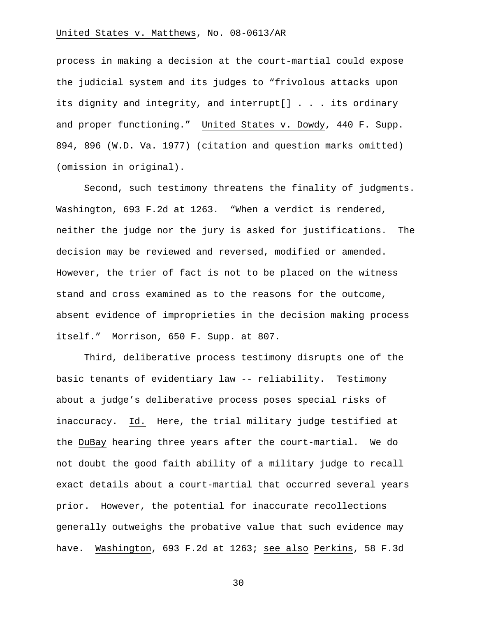process in making a decision at the court-martial could expose the judicial system and its judges to "frivolous attacks upon its dignity and integrity, and interrupt[] . . . its ordinary and proper functioning." United States v. Dowdy, 440 F. Supp. 894, 896 (W.D. Va. 1977) (citation and question marks omitted) (omission in original).

Second, such testimony threatens the finality of judgments. Washington, 693 F.2d at 1263. "When a verdict is rendered, neither the judge nor the jury is asked for justifications. The decision may be reviewed and reversed, modified or amended. However, the trier of fact is not to be placed on the witness stand and cross examined as to the reasons for the outcome, absent evidence of improprieties in the decision making process itself." Morrison, 650 F. Supp. at 807.

Third, deliberative process testimony disrupts one of the basic tenants of evidentiary law -- reliability. Testimony about a judge's deliberative process poses special risks of inaccuracy. Id. Here, the trial military judge testified at the DuBay hearing three years after the court-martial. We do not doubt the good faith ability of a military judge to recall exact details about a court-martial that occurred several years prior. However, the potential for inaccurate recollections generally outweighs the probative value that such evidence may have. Washington, 693 F.2d at 1263; see also Perkins, 58 F.3d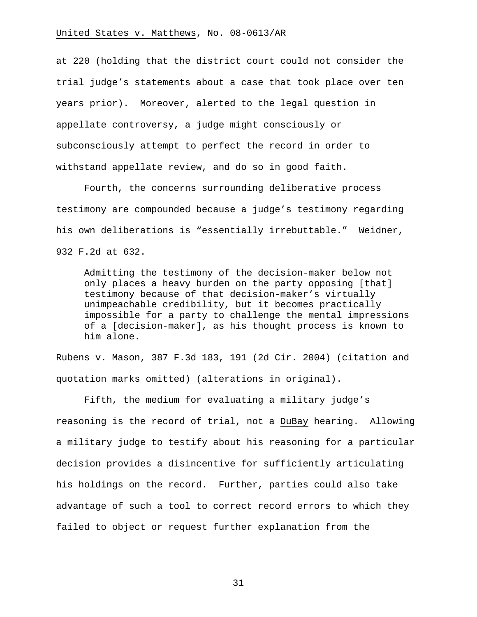at 220 (holding that the district court could not consider the trial judge's statements about a case that took place over ten years prior). Moreover, alerted to the legal question in appellate controversy, a judge might consciously or subconsciously attempt to perfect the record in order to withstand appellate review, and do so in good faith.

Fourth, the concerns surrounding deliberative process testimony are compounded because a judge's testimony regarding his own deliberations is "essentially irrebuttable." Weidner, 932 F.2d at 632.

Admitting the testimony of the decision-maker below not only places a heavy burden on the party opposing [that] testimony because of that decision-maker's virtually unimpeachable credibility, but it becomes practically impossible for a party to challenge the mental impressions of a [decision-maker], as his thought process is known to him alone.

Rubens v. Mason, 387 F.3d 183, 191 (2d Cir. 2004) (citation and quotation marks omitted) (alterations in original).

Fifth, the medium for evaluating a military judge's reasoning is the record of trial, not a DuBay hearing. Allowing a military judge to testify about his reasoning for a particular decision provides a disincentive for sufficiently articulating his holdings on the record. Further, parties could also take advantage of such a tool to correct record errors to which they failed to object or request further explanation from the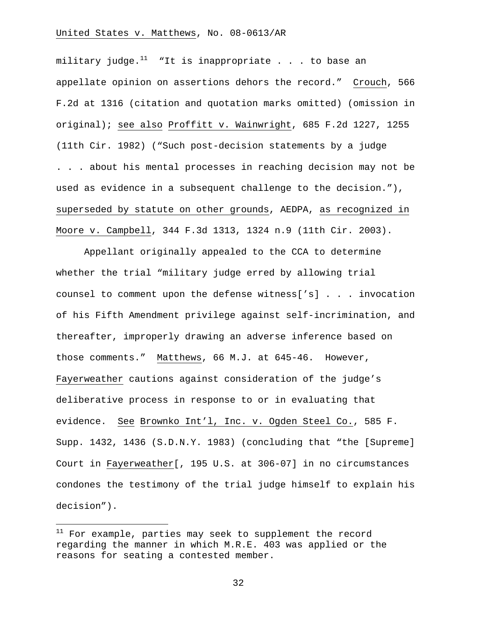military judge. $11$  "It is inappropriate . . . to base an appellate opinion on assertions dehors the record." Crouch, 566 F.2d at 1316 (citation and quotation marks omitted) (omission in original); see also Proffitt v. Wainwright, 685 F.2d 1227, 1255 (11th Cir. 1982) ("Such post-decision statements by a judge . . . about his mental processes in reaching decision may not be used as evidence in a subsequent challenge to the decision."), superseded by statute on other grounds, AEDPA, as recognized in Moore v. Campbell, 344 F.3d 1313, 1324 n.9 (11th Cir. 2003).

Appellant originally appealed to the CCA to determine whether the trial "military judge erred by allowing trial counsel to comment upon the defense witness['s] . . . invocation of his Fifth Amendment privilege against self-incrimination, and thereafter, improperly drawing an adverse inference based on those comments." Matthews, 66 M.J. at 645-46. However, Fayerweather cautions against consideration of the judge's deliberative process in response to or in evaluating that evidence. See Brownko Int'l, Inc. v. Ogden Steel Co., 585 F. Supp. 1432, 1436 (S.D.N.Y. 1983) (concluding that "the [Supreme] Court in Fayerweather[, 195 U.S. at 306-07] in no circumstances condones the testimony of the trial judge himself to explain his decision").

 $\overline{\phantom{0}}$ 

 $11$  For example, parties may seek to supplement the record regarding the manner in which M.R.E. 403 was applied or the reasons for seating a contested member.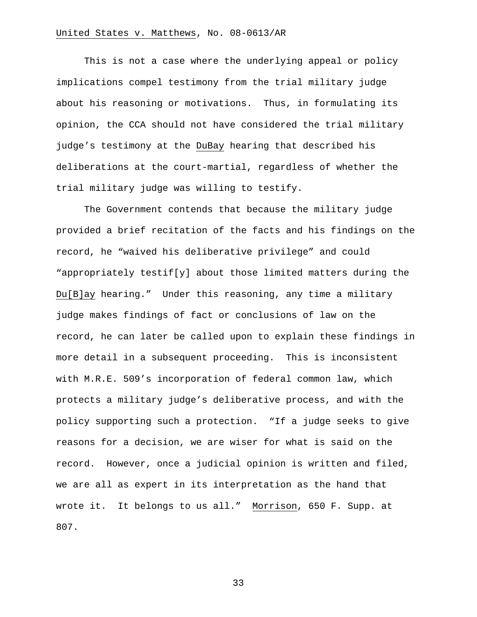This is not a case where the underlying appeal or policy implications compel testimony from the trial military judge about his reasoning or motivations. Thus, in formulating its opinion, the CCA should not have considered the trial military judge's testimony at the DuBay hearing that described his deliberations at the court-martial, regardless of whether the trial military judge was willing to testify.

The Government contends that because the military judge provided a brief recitation of the facts and his findings on the record, he "waived his deliberative privilege" and could "appropriately testif[y] about those limited matters during the Du[B]ay hearing." Under this reasoning, any time a military judge makes findings of fact or conclusions of law on the record, he can later be called upon to explain these findings in more detail in a subsequent proceeding. This is inconsistent with M.R.E. 509's incorporation of federal common law, which protects a military judge's deliberative process, and with the policy supporting such a protection. "If a judge seeks to give reasons for a decision, we are wiser for what is said on the record. However, once a judicial opinion is written and filed, we are all as expert in its interpretation as the hand that wrote it. It belongs to us all." Morrison, 650 F. Supp. at 807.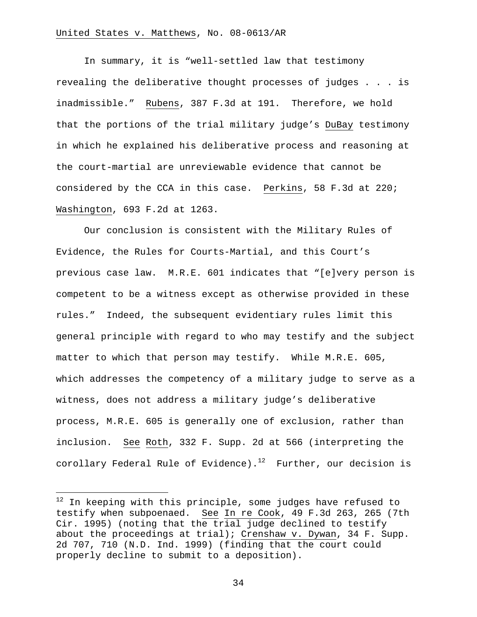In summary, it is "well-settled law that testimony revealing the deliberative thought processes of judges . . . is inadmissible." Rubens, 387 F.3d at 191. Therefore, we hold that the portions of the trial military judge's DuBay testimony in which he explained his deliberative process and reasoning at the court-martial are unreviewable evidence that cannot be considered by the CCA in this case. Perkins, 58 F.3d at 220; Washington, 693 F.2d at 1263.

Our conclusion is consistent with the Military Rules of Evidence, the Rules for Courts-Martial, and this Court's previous case law. M.R.E. 601 indicates that "[e]very person is competent to be a witness except as otherwise provided in these rules." Indeed, the subsequent evidentiary rules limit this general principle with regard to who may testify and the subject matter to which that person may testify. While M.R.E. 605, which addresses the competency of a military judge to serve as a witness, does not address a military judge's deliberative process, M.R.E. 605 is generally one of exclusion, rather than inclusion. See Roth, 332 F. Supp. 2d at 566 (interpreting the corollary Federal Rule of Evidence).<sup>12</sup> Further, our decision is

i<br>Li

 $^{12}$  In keeping with this principle, some judges have refused to testify when subpoenaed. See In re Cook, 49 F.3d 263, 265 (7th Cir. 1995) (noting that the trial judge declined to testify about the proceedings at trial); Crenshaw v. Dywan, 34 F. Supp. 2d 707, 710 (N.D. Ind. 1999) (finding that the court could properly decline to submit to a deposition).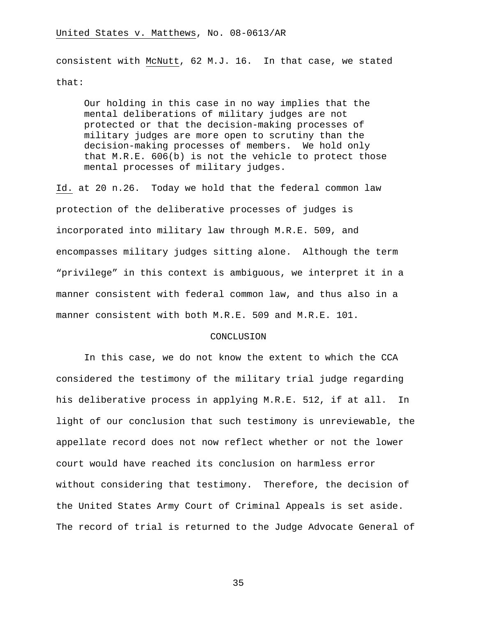consistent with McNutt, 62 M.J. 16. In that case, we stated that:

Our holding in this case in no way implies that the mental deliberations of military judges are not protected or that the decision-making processes of military judges are more open to scrutiny than the decision-making processes of members. We hold only that M.R.E. 606(b) is not the vehicle to protect those mental processes of military judges.

Id. at 20 n.26. Today we hold that the federal common law protection of the deliberative processes of judges is incorporated into military law through M.R.E. 509, and encompasses military judges sitting alone. Although the term "privilege" in this context is ambiguous, we interpret it in a manner consistent with federal common law, and thus also in a manner consistent with both M.R.E. 509 and M.R.E. 101.

#### CONCLUSION

In this case, we do not know the extent to which the CCA considered the testimony of the military trial judge regarding his deliberative process in applying M.R.E. 512, if at all. In light of our conclusion that such testimony is unreviewable, the appellate record does not now reflect whether or not the lower court would have reached its conclusion on harmless error without considering that testimony. Therefore, the decision of the United States Army Court of Criminal Appeals is set aside. The record of trial is returned to the Judge Advocate General of